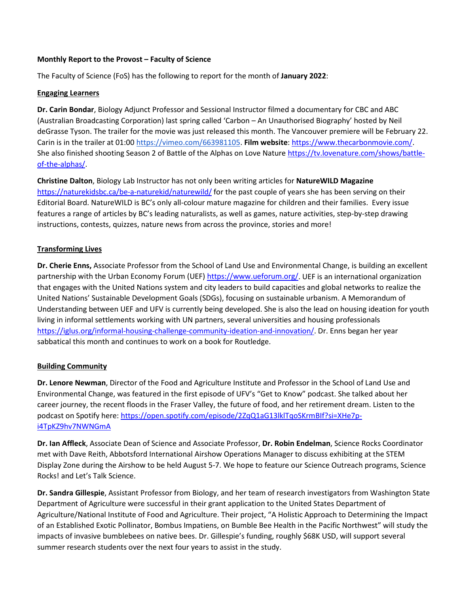### **Monthly Report to the Provost – Faculty of Science**

The Faculty of Science (FoS) has the following to report for the month of **January 2022**:

### **Engaging Learners**

**Dr. Carin Bondar**, Biology Adjunct Professor and Sessional Instructor filmed a documentary for CBC and ABC (Australian Broadcasting Corporation) last spring called 'Carbon – An Unauthorised Biography' hosted by Neil deGrasse Tyson. The trailer for the movie was just released this month. The Vancouver premiere will be February 22. Carin is in the trailer at 01:00 [https://vimeo.com/663981105.](https://can01.safelinks.protection.outlook.com/?url=https%3A%2F%2Fvimeo.com%2F663981105&data=04%7C01%7CCaroline.Majeau%40ufv.ca%7C86da35a94370411cea7c08d9dad08230%7Ca3d10b1dc22648f9a6db976df918187e%7C1%7C0%7C637781411333644884%7CUnknown%7CTWFpbGZsb3d8eyJWIjoiMC4wLjAwMDAiLCJQIjoiV2luMzIiLCJBTiI6Ik1haWwiLCJXVCI6Mn0%3D%7C3000&sdata=2NxnI3fNSgrg6aBa4MB3XyaPh6wx6joqU9j%2Bnjfkqks%3D&reserved=0) **Film website**: [https://www.thecarbonmovie.com/.](https://www.thecarbonmovie.com/) She also finished shooting Season 2 of Battle of the Alphas on Love Nature [https://tv.lovenature.com/shows/battle](https://tv.lovenature.com/shows/battle-of-the-alphas/)[of-the-alphas/.](https://tv.lovenature.com/shows/battle-of-the-alphas/)

**Christine Dalton**, Biology Lab Instructor has not only been writing articles for **NatureWILD Magazine** <https://naturekidsbc.ca/be-a-naturekid/naturewild/> for the past couple of years she has been serving on their Editorial Board. NatureWILD is BC's only all-colour mature magazine for children and their families. Every issue features a range of articles by BC's leading naturalists, as well as games, nature activities, step-by-step drawing instructions, contests, quizzes, nature news from across the province, stories and more!

# **Transforming Lives**

**Dr. Cherie Enns,** Associate Professor from the School of Land Use and Environmental Change, is building an excellent partnership with the Urban Economy Forum (UEF) [https://www.ueforum.org/.](https://www.ueforum.org/) UEF is an international organization that engages with the United Nations system and city leaders to build capacities and global networks to realize the United Nations' Sustainable Development Goals (SDGs), focusing on sustainable urbanism. A Memorandum of Understanding between UEF and UFV is currently being developed. She is also the lead on housing ideation for youth living in informal settlements working with UN partners, several universities and housing professionals [https://iglus.org/informal-housing-challenge-community-ideation-and-innovation/.](https://iglus.org/informal-housing-challenge-community-ideation-and-innovation/) Dr. Enns began her year sabbatical this month and continues to work on a book for Routledge.

## **Building Community**

**Dr. Lenore Newman**, Director of the Food and Agriculture Institute and Professor in the School of Land Use and Environmental Change, was featured in the first episode of UFV's "Get to Know" podcast. She talked about her career journey, the recent floods in the Fraser Valley, the future of food, and her retirement dream. Listen to the podcast on Spotify here: [https://open.spotify.com/episode/2ZqQ1aG13lklTqoSKrmBIf?si=XHe7p](https://open.spotify.com/episode/2ZqQ1aG13lklTqoSKrmBIf?si=XHe7p-i4TpKZ9hv7NWNGmA)[i4TpKZ9hv7NWNGmA](https://open.spotify.com/episode/2ZqQ1aG13lklTqoSKrmBIf?si=XHe7p-i4TpKZ9hv7NWNGmA)

**Dr. Ian Affleck**, Associate Dean of Science and Associate Professor, **Dr. Robin Endelman**, Science Rocks Coordinator met with Dave Reith, Abbotsford International Airshow Operations Manager to discuss exhibiting at the STEM Display Zone during the Airshow to be held August 5-7. We hope to feature our Science Outreach programs, Science Rocks! and Let's Talk Science.

**Dr. Sandra Gillespie**, Assistant Professor from Biology, and her team of research investigators from Washington State Department of Agriculture were successful in their grant application to the United States Department of Agriculture/National Institute of Food and Agriculture. Their project, "A Holistic Approach to Determining the Impact of an Established Exotic Pollinator, Bombus Impatiens, on Bumble Bee Health in the Pacific Northwest" will study the impacts of invasive bumblebees on native bees. Dr. Gillespie's funding, roughly \$68K USD, will support several summer research students over the next four years to assist in the study.